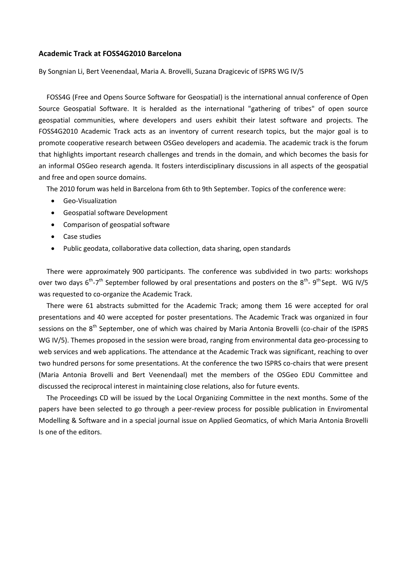## **Academic Track at FOSS4G2010 Barcelona**

By Songnian Li, Bert Veenendaal, Maria A. Brovelli, Suzana Dragicevic of ISPRS WG IV/5

FOSS4G (Free and Opens Source Software for Geospatial) is the international annual conference of Open Source Geospatial Software. It is heralded as the international "gathering of tribes" of open source geospatial communities, where developers and users exhibit their latest software and projects. The FOSS4G2010 Academic Track acts as an inventory of current research topics, but the major goal is to promote cooperative research between OSGeo developers and academia. The academic track is the forum that highlights important research challenges and trends in the domain, and which becomes the basis for an informal OSGeo research agenda. It fosters interdisciplinary discussions in all aspects of the geospatial and free and open source domains.

The 2010 forum was held in Barcelona from 6th to 9th September. Topics of the conference were:

- Geo-Visualization
- Geospatial software Development
- Comparison of geospatial software
- Case studies
- Public geodata, collaborative data collection, data sharing, open standards

There were approximately 900 participants. The conference was subdivided in two parts: workshops over two days  $6^{th}$ -7<sup>th</sup> September followed by oral presentations and posters on the  $8^{th}$ -  $9^{th}$  Sept. WG IV/5 was requested to co-organize the Academic Track.

There were 61 abstracts submitted for the Academic Track; among them 16 were accepted for oral presentations and 40 were accepted for poster presentations. The Academic Track was organized in four sessions on the 8<sup>th</sup> September, one of which was chaired by Maria Antonia Brovelli (co-chair of the ISPRS WG IV/5). Themes proposed in the session were broad, ranging from environmental data geo-processing to web services and web applications. The attendance at the Academic Track was significant, reaching to over two hundred persons for some presentations. At the conference the two ISPRS co-chairs that were present (Maria Antonia Brovelli and Bert Veenendaal) met the members of the OSGeo EDU Committee and discussed the reciprocal interest in maintaining close relations, also for future events.

The Proceedings CD will be issued by the Local Organizing Committee in the next months. Some of the papers have been selected to go through a peer-review process for possible publication in Enviromental Modelling & Software and in a special journal issue on Applied Geomatics, of which Maria Antonia Brovelli Is one of the editors.